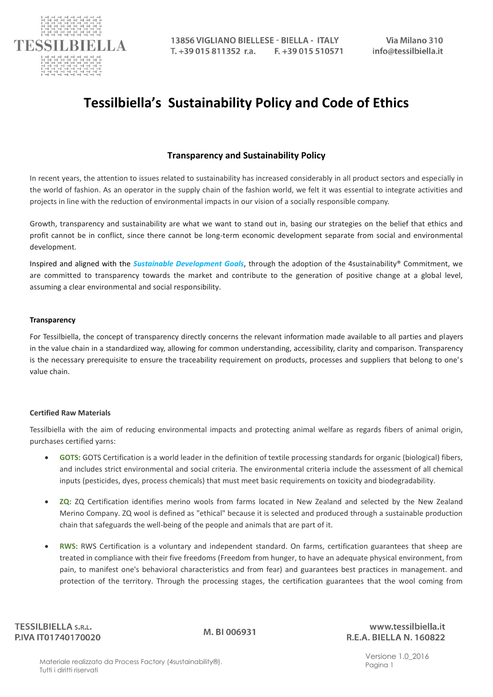

# **Tessilbiella's Sustainability Policy and Code of Ethics**

# **Transparency and Sustainability Policy**

In recent years, the attention to issues related to sustainability has increased considerably in all product sectors and especially in the world of fashion. As an operator in the supply chain of the fashion world, we felt it was essential to integrate activities and projects in line with the reduction of environmental impacts in our vision of a socially responsible company.

Growth, transparency and sustainability are what we want to stand out in, basing our strategies on the belief that ethics and profit cannot be in conflict, since there cannot be long-term economic development separate from social and environmental development.

Inspired and aligned with the *Sustainable Development Goals*, through the adoption of the 4sustainability® Commitment, we are committed to transparency towards the market and contribute to the generation of positive change at a global level, assuming a clear environmental and social responsibility.

#### **Transparency**

For Tessilbiella, the concept of transparency directly concerns the relevant information made available to all parties and players in the value chain in a standardized way, allowing for common understanding, accessibility, clarity and comparison. Transparency is the necessary prerequisite to ensure the traceability requirement on products, processes and suppliers that belong to one's value chain.

#### **Certified Raw Materials**

Tessilbiella with the aim of reducing environmental impacts and protecting animal welfare as regards fibers of animal origin, purchases certified yarns:

- **GOTS:** GOTS Certification is a world leader in the definition of textile processing standards for organic (biological) fibers, and includes strict environmental and social criteria. The environmental criteria include the assessment of all chemical inputs (pesticides, dyes, process chemicals) that must meet basic requirements on toxicity and biodegradability.
- **ZQ:** ZQ Certification identifies merino wools from farms located in New Zealand and selected by the New Zealand Merino Company. ZQ wool is defined as "ethical" because it is selected and produced through a sustainable production chain that safeguards the well-being of the people and animals that are part of it.
- **RWS:** RWS Certification is a voluntary and independent standard. On farms, certification guarantees that sheep are treated in compliance with their five freedoms (Freedom from hunger, to have an adequate physical environment, from pain, to manifest one's behavioral characteristics and from fear) and guarantees best practices in management. and protection of the territory. Through the processing stages, the certification guarantees that the wool coming from

**TESSILBIELLA S.R.L.** P.IVA IT01740170020

M. BI 006931

www.tessilbiella.it R.E.A. BIELLA N. 160822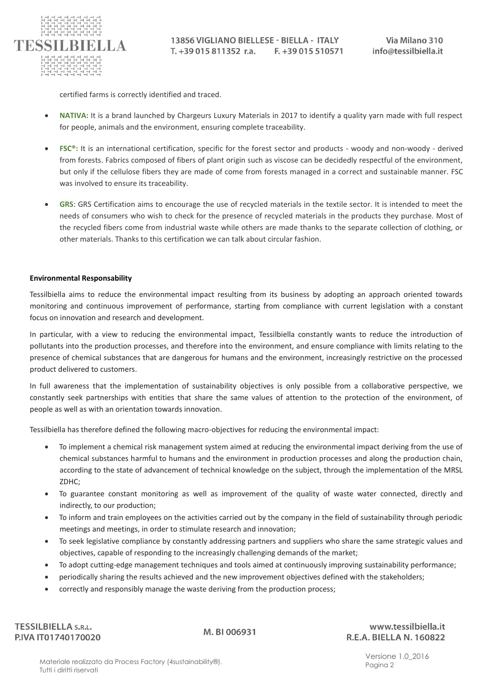

certified farms is correctly identified and traced.

- **NATIVA:** It is a brand launched by Chargeurs Luxury Materials in 2017 to identify a quality yarn made with full respect for people, animals and the environment, ensuring complete traceability.
- **FSC®:** It is an international certification, specific for the forest sector and products woody and non-woody derived from forests. Fabrics composed of fibers of plant origin such as viscose can be decidedly respectful of the environment, but only if the cellulose fibers they are made of come from forests managed in a correct and sustainable manner. FSC was involved to ensure its traceability.
- GRS: GRS Certification aims to encourage the use of recycled materials in the textile sector. It is intended to meet the needs of consumers who wish to check for the presence of recycled materials in the products they purchase. Most of the recycled fibers come from industrial waste while others are made thanks to the separate collection of clothing, or other materials. Thanks to this certification we can talk about circular fashion.

## **Environmental Responsability**

Tessilbiella aims to reduce the environmental impact resulting from its business by adopting an approach oriented towards monitoring and continuous improvement of performance, starting from compliance with current legislation with a constant focus on innovation and research and development.

In particular, with a view to reducing the environmental impact, Tessilbiella constantly wants to reduce the introduction of pollutants into the production processes, and therefore into the environment, and ensure compliance with limits relating to the presence of chemical substances that are dangerous for humans and the environment, increasingly restrictive on the processed product delivered to customers.

In full awareness that the implementation of sustainability objectives is only possible from a collaborative perspective, we constantly seek partnerships with entities that share the same values of attention to the protection of the environment, of people as well as with an orientation towards innovation.

Tessilbiella has therefore defined the following macro-objectives for reducing the environmental impact:

- To implement a chemical risk management system aimed at reducing the environmental impact deriving from the use of chemical substances harmful to humans and the environment in production processes and along the production chain, according to the state of advancement of technical knowledge on the subject, through the implementation of the MRSL ZDHC;
- To guarantee constant monitoring as well as improvement of the quality of waste water connected, directly and indirectly, to our production;
- To inform and train employees on the activities carried out by the company in the field of sustainability through periodic meetings and meetings, in order to stimulate research and innovation;
- To seek legislative compliance by constantly addressing partners and suppliers who share the same strategic values and objectives, capable of responding to the increasingly challenging demands of the market;
- To adopt cutting-edge management techniques and tools aimed at continuously improving sustainability performance;
- periodically sharing the results achieved and the new improvement objectives defined with the stakeholders;
- correctly and responsibly manage the waste deriving from the production process;

**TESSILBIELLA S.R.L.** P.IVA IT01740170020

M. BI 006931

www.tessilbiella.it R.E.A. BIELLA N. 160822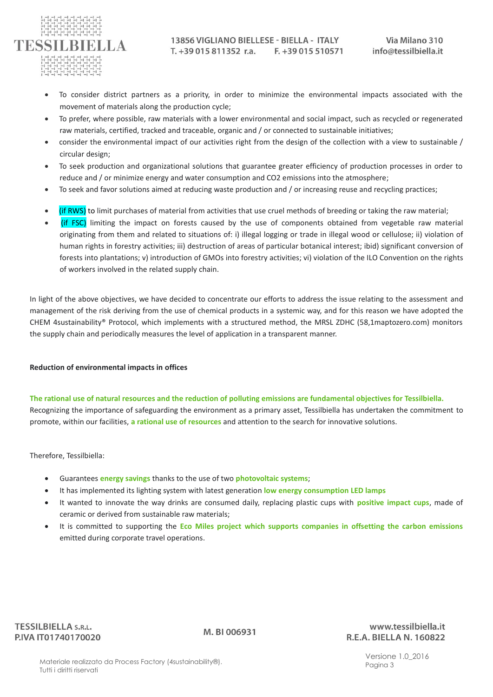

- To consider district partners as a priority, in order to minimize the environmental impacts associated with the movement of materials along the production cycle;
- To prefer, where possible, raw materials with a lower environmental and social impact, such as recycled or regenerated raw materials, certified, tracked and traceable, organic and / or connected to sustainable initiatives;
- consider the environmental impact of our activities right from the design of the collection with a view to sustainable / circular design;
- To seek production and organizational solutions that guarantee greater efficiency of production processes in order to reduce and / or minimize energy and water consumption and CO2 emissions into the atmosphere;
- To seek and favor solutions aimed at reducing waste production and / or increasing reuse and recycling practices;
- (if RWS) to limit purchases of material from activities that use cruel methods of breeding or taking the raw material;
- (if FSC) limiting the impact on forests caused by the use of components obtained from vegetable raw material originating from them and related to situations of: i) illegal logging or trade in illegal wood or cellulose; ii) violation of human rights in forestry activities; iii) destruction of areas of particular botanical interest; ibid) significant conversion of forests into plantations; v) introduction of GMOs into forestry activities; vi) violation of the ILO Convention on the rights of workers involved in the related supply chain.

In light of the above objectives, we have decided to concentrate our efforts to address the issue relating to the assessment and management of the risk deriving from the use of chemical products in a systemic way, and for this reason we have adopted the CHEM 4sustainability® Protocol, which implements with a structured method, the MRSL ZDHC (58,1maptozero.com) monitors the supply chain and periodically measures the level of application in a transparent manner.

## **Reduction of environmental impacts in offices**

**The rational use of natural resources and the reduction of polluting emissions are fundamental objectives for Tessilbiella.** Recognizing the importance of safeguarding the environment as a primary asset, Tessilbiella has undertaken the commitment to promote, within our facilities, **a rational use of resources** and attention to the search for innovative solutions.

Therefore, Tessilbiella:

- Guarantees **energy savings** thanks to the use of two **photovoltaic systems**;
- It has implemented its lighting system with latest generation **low energy consumption LED lamps**
- It wanted to innovate the way drinks are consumed daily, replacing plastic cups with **positive impact cups**, made of ceramic or derived from sustainable raw materials;
- It is committed to supporting the **Eco Miles project which supports companies in offsetting the carbon emissions** emitted during corporate travel operations.

www.tessilbiella.it R.E.A. BIELLA N. 160822

Versione 1.0\_2016 Pagina 3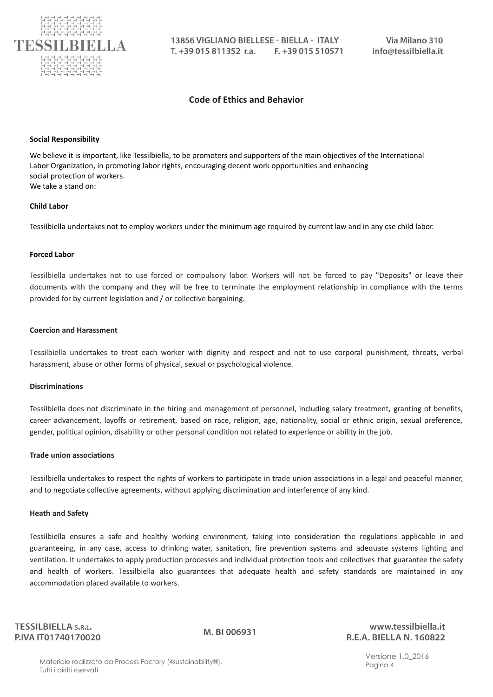

## **Code of Ethics and Behavior**

#### **Social Responsibility**

We believe it is important, like Tessilbiella, to be promoters and supporters of the main objectives of the International Labor Organization, in promoting labor rights, encouraging decent work opportunities and enhancing social protection of workers. We take a stand on:

#### **Child Labor**

Tessilbiella undertakes not to employ workers under the minimum age required by current law and in any cse child labor.

#### **Forced Labor**

Tessilbiella undertakes not to use forced or compulsory labor. Workers will not be forced to pay "Deposits" or leave their documents with the company and they will be free to terminate the employment relationship in compliance with the terms provided for by current legislation and / or collective bargaining.

#### **Coercion and Harassment**

Tessilbiella undertakes to treat each worker with dignity and respect and not to use corporal punishment, threats, verbal harassment, abuse or other forms of physical, sexual or psychological violence.

#### **Discriminations**

Tessilbiella does not discriminate in the hiring and management of personnel, including salary treatment, granting of benefits, career advancement, layoffs or retirement, based on race, religion, age, nationality, social or ethnic origin, sexual preference, gender, political opinion, disability or other personal condition not related to experience or ability in the job.

#### **Trade union associations**

Tessilbiella undertakes to respect the rights of workers to participate in trade union associations in a legal and peaceful manner, and to negotiate collective agreements, without applying discrimination and interference of any kind.

#### **Heath and Safety**

Tessilbiella ensures a safe and healthy working environment, taking into consideration the regulations applicable in and guaranteeing, in any case, access to drinking water, sanitation, fire prevention systems and adequate systems lighting and ventilation. It undertakes to apply production processes and individual protection tools and collectives that guarantee the safety and health of workers. Tessilbiella also guarantees that adequate health and safety standards are maintained in any accommodation placed available to workers.

**TESSILBIELLA S.R.L.** P.IVA IT01740170020

M. BI 006931

www.tessilbiella.it R.E.A. BIELLA N. 160822

Versione 1.0\_2016 Pagina 4